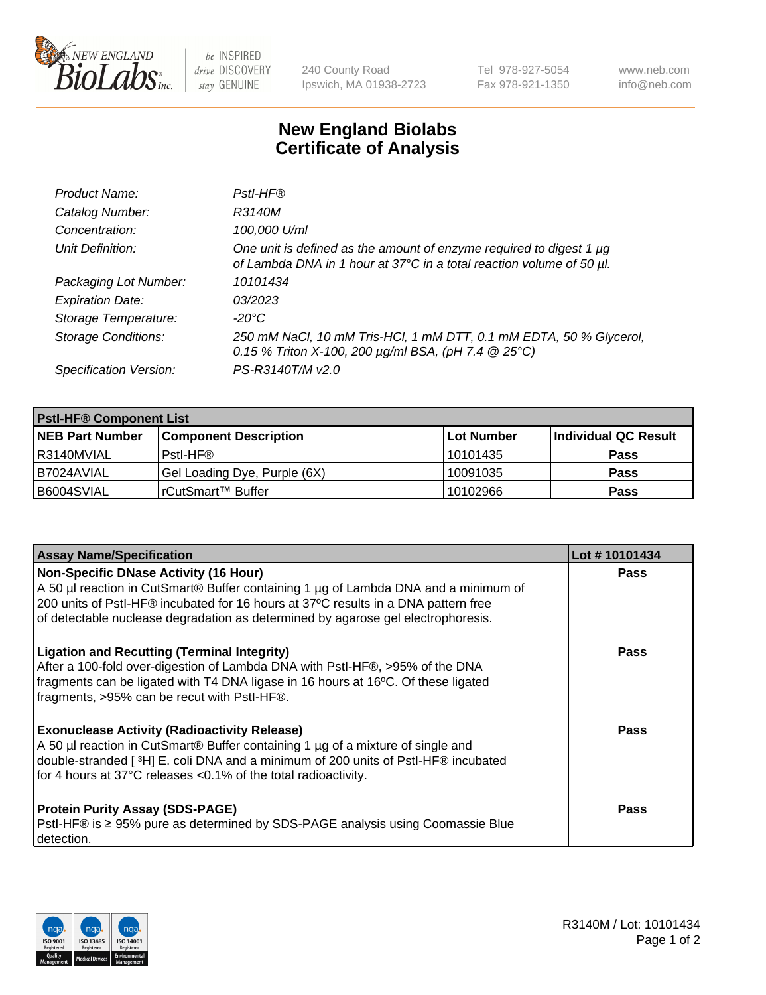

be INSPIRED drive DISCOVERY stay GENUINE

240 County Road Ipswich, MA 01938-2723 Tel 978-927-5054 Fax 978-921-1350 www.neb.com info@neb.com

## **New England Biolabs Certificate of Analysis**

| Product Name:              | Pstl-HF®                                                                                                                                             |
|----------------------------|------------------------------------------------------------------------------------------------------------------------------------------------------|
| Catalog Number:            | R3140M                                                                                                                                               |
| Concentration:             | 100,000 U/ml                                                                                                                                         |
| Unit Definition:           | One unit is defined as the amount of enzyme required to digest 1 µg<br>of Lambda DNA in 1 hour at 37°C in a total reaction volume of 50 µl.          |
| Packaging Lot Number:      | 10101434                                                                                                                                             |
| <b>Expiration Date:</b>    | 03/2023                                                                                                                                              |
| Storage Temperature:       | $-20^{\circ}$ C                                                                                                                                      |
| <b>Storage Conditions:</b> | 250 mM NaCl, 10 mM Tris-HCl, 1 mM DTT, 0.1 mM EDTA, 50 % Glycerol,<br>0.15 % Triton X-100, 200 $\mu$ g/ml BSA, (pH 7.4 $\textcircled{25}^{\circ}$ C) |
| Specification Version:     | PS-R3140T/M v2.0                                                                                                                                     |

| <b>PstI-HF® Component List</b> |                              |            |                      |  |
|--------------------------------|------------------------------|------------|----------------------|--|
| <b>NEB Part Number</b>         | <b>Component Description</b> | Lot Number | Individual QC Result |  |
| R3140MVIAL                     | Pstl-HF®                     | l 10101435 | <b>Pass</b>          |  |
| B7024AVIAL                     | Gel Loading Dye, Purple (6X) | 10091035   | <b>Pass</b>          |  |
| B6004SVIAL                     | l rCutSmart™ Buffer          | 10102966   | <b>Pass</b>          |  |

| <b>Assay Name/Specification</b>                                                                                                                                                                                                                                                               | Lot #10101434 |
|-----------------------------------------------------------------------------------------------------------------------------------------------------------------------------------------------------------------------------------------------------------------------------------------------|---------------|
| <b>Non-Specific DNase Activity (16 Hour)</b><br>A 50 µl reaction in CutSmart® Buffer containing 1 µg of Lambda DNA and a minimum of<br>200 units of Pstl-HF® incubated for 16 hours at 37°C results in a DNA pattern free                                                                     | <b>Pass</b>   |
| of detectable nuclease degradation as determined by agarose gel electrophoresis.                                                                                                                                                                                                              |               |
| <b>Ligation and Recutting (Terminal Integrity)</b><br>After a 100-fold over-digestion of Lambda DNA with Pstl-HF®, >95% of the DNA<br>fragments can be ligated with T4 DNA ligase in 16 hours at 16°C. Of these ligated<br>fragments, >95% can be recut with PstI-HF®.                        | <b>Pass</b>   |
| <b>Exonuclease Activity (Radioactivity Release)</b><br>A 50 µl reaction in CutSmart® Buffer containing 1 µg of a mixture of single and<br>double-stranded [3H] E. coli DNA and a minimum of 200 units of PstI-HF® incubated<br>for 4 hours at 37°C releases <0.1% of the total radioactivity. | <b>Pass</b>   |
| <b>Protein Purity Assay (SDS-PAGE)</b><br>PstI-HF® is ≥ 95% pure as determined by SDS-PAGE analysis using Coomassie Blue<br>detection.                                                                                                                                                        | Pass          |